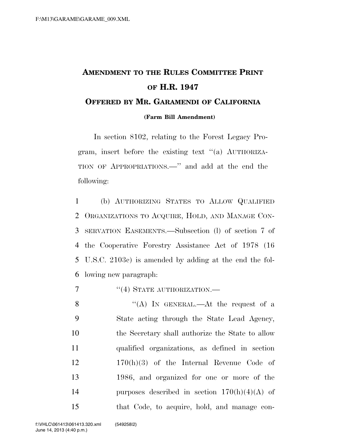## **AMENDMENT TO THE RULES COMMITTEE PRINT OF H.R. 1947 OFFERED BY MR. GARAMENDI OF CALIFORNIA**

**(Farm Bill Amendment)**

In section 8102, relating to the Forest Legacy Program, insert before the existing text ''(a) AUTHORIZA-TION OF APPROPRIATIONS.—'' and add at the end the following:

 (b) AUTHORIZING STATES TO ALLOW QUALIFIED ORGANIZATIONS TO ACQUIRE, HOLD, AND MANAGE CON- SERVATION EASEMENTS.—Subsection (l) of section 7 of the Cooperative Forestry Assistance Act of 1978 (16 U.S.C. 2103c) is amended by adding at the end the fol-lowing new paragraph:

7  $((4)$  STATE AUTHORIZATION.

8 "(A) In GENERAL.—At the request of a State acting through the State Lead Agency, the Secretary shall authorize the State to allow qualified organizations, as defined in section 170(h)(3) of the Internal Revenue Code of 1986, and organized for one or more of the 14 purposes described in section  $170(h)(4)(A)$  of that Code, to acquire, hold, and manage con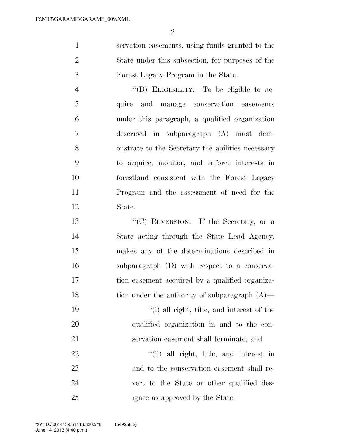servation easements, using funds granted to the State under this subsection, for purposes of the Forest Legacy Program in the State.

4 "(B) ELIGIBILITY.—To be eligible to ac- quire and manage conservation easements under this paragraph, a qualified organization described in subparagraph (A) must dem- onstrate to the Secretary the abilities necessary to acquire, monitor, and enforce interests in forestland consistent with the Forest Legacy Program and the assessment of need for the State.

 ''(C) REVERSION.—If the Secretary, or a State acting through the State Lead Agency, makes any of the determinations described in subparagraph (D) with respect to a conserva- tion easement acquired by a qualified organiza-18 tion under the authority of subparagraph (A)— ''(i) all right, title, and interest of the qualified organization in and to the con- servation easement shall terminate; and 22 ''(ii) all right, title, and interest in and to the conservation easement shall re-vert to the State or other qualified des-

ignee as approved by the State.